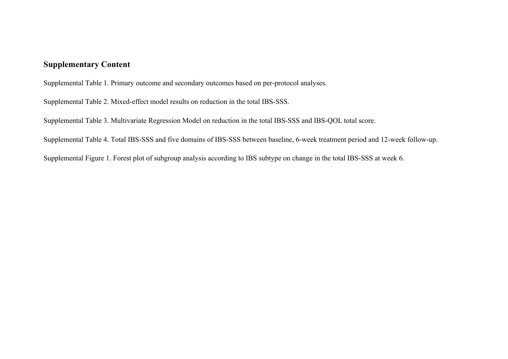# **Supplementary Content**

Supplemental Table 1. Primary outcome and secondary outcomes based on per-protocol analyses.

Supplemental Table 2. Mixed-effect model results on reduction in the total IBS-SSS.

Supplemental Table 3. Multivariate Regression Model on reduction in the total IBS-SSS and IBS-QOL total score.

Supplemental Table 4. Total IBS-SSS and five domains of IBS-SSS between baseline, 6-week treatment period and 12-week follow-up.

Supplemental Figure 1. Forest plot of subgroup analysis according to IBS subtype on change in the total IBS-SSS at week 6.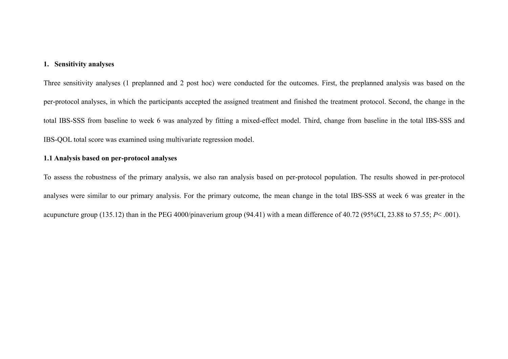### **1. Sensitivity analyses**

Three sensitivity analyses (1 preplanned and 2 post hoc) were conducted for the outcomes. First, the preplanned analysis was based on the per-protocol analyses, in which the participants accepted the assigned treatment and finished the treatment protocol. Second, the change in the total IBS-SSS from baseline to week 6 was analyzed by fitting a mixed-effect model. Third, change from baseline in the total IBS-SSS and IBS-QOL total score was examined using multivariate regression model.

## **1.1 Analysis based on per-protocol analyses**

To assess the robustness of the primary analysis, we also ran analysis based on per-protocol population. The results showed in per-protocol analyses were similar to our primary analysis. For the primary outcome, the mean change in the total IBS-SSS at week 6 was greater in the acupuncture group (135.12) than in the PEG 4000/pinaverium group (94.41) with a mean difference of 40.72 (95%CI, 23.88 to 57.55; *P*< .001).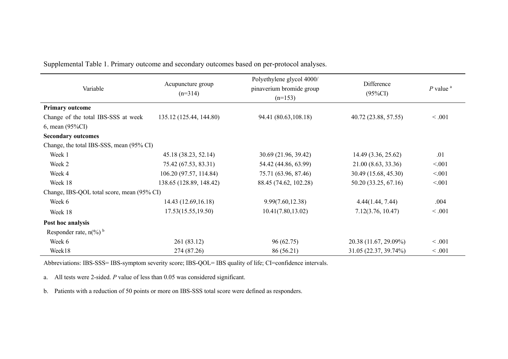| Variable                                     | Acupuncture group<br>$(n=314)$ | Polyethylene glycol 4000/<br>pinaverium bromide group<br>$(n=153)$ | Difference<br>$(95\%CI)$ | $P$ value $a$ |
|----------------------------------------------|--------------------------------|--------------------------------------------------------------------|--------------------------|---------------|
| <b>Primary outcome</b>                       |                                |                                                                    |                          |               |
| Change of the total IBS-SSS at week          | 135.12 (125.44, 144.80)        | 94.41 (80.63,108.18)                                               | 40.72 (23.88, 57.55)     | < 0.001       |
| $6$ , mean $(95\%CI)$                        |                                |                                                                    |                          |               |
| <b>Secondary outcomes</b>                    |                                |                                                                    |                          |               |
| Change, the total IBS-SSS, mean (95% CI)     |                                |                                                                    |                          |               |
| Week 1                                       | 45.18 (38.23, 52.14)           | 30.69 (21.96, 39.42)                                               | 14.49 (3.36, 25.62)      | .01           |
| Week 2                                       | 75.42 (67.53, 83.31)           | 54.42 (44.86, 63.99)                                               | 21.00 (8.63, 33.36)      | < 0.01        |
| Week 4                                       | 106.20 (97.57, 114.84)         | 75.71 (63.96, 87.46)                                               | 30.49 (15.68, 45.30)     | < 0.01        |
| Week 18                                      | 138.65 (128.89, 148.42)        | 88.45 (74.62, 102.28)                                              | 50.20 (33.25, 67.16)     | < 0.01        |
| Change, IBS-QOL total score, mean (95% CI)   |                                |                                                                    |                          |               |
| Week 6                                       | 14.43 (12.69, 16.18)           | 9.99(7.60, 12.38)                                                  | 4.44(1.44, 7.44)         | .004          |
| Week 18                                      | 17.53(15.55, 19.50)            | 10.41(7.80, 13.02)                                                 | 7.12(3.76, 10.47)        | < 0.001       |
| Post hoc analysis                            |                                |                                                                    |                          |               |
| Responder rate, $n\binom{0}{0}$ <sup>b</sup> |                                |                                                                    |                          |               |
| Week 6                                       | 261 (83.12)                    | 96(62.75)                                                          | 20.38 (11.67, 29.09%)    | < 0.001       |
| Week18                                       | 274 (87.26)                    | 86 (56.21)                                                         | 31.05 (22.37, 39.74%)    | < 0.001       |

Supplemental Table 1. Primary outcome and secondary outcomes based on per-protocol analyses.

Abbreviations: IBS-SSS= IBS-symptom severity score; IBS-QOL= IBS quality of life; CI=confidence intervals.

a. All tests were 2-sided. *P* value of less than 0.05 was considered significant.

b. Patients with a reduction of 50 points or more on IBS-SSS total score were defined as responders.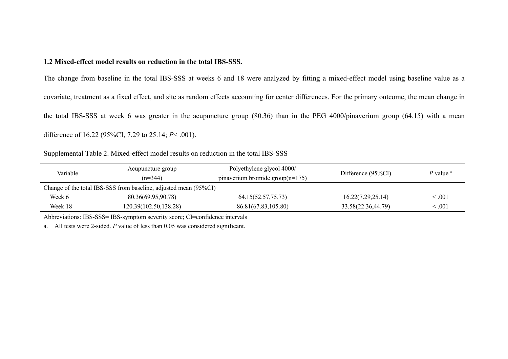#### **1.2 Mixed-effect model results on reduction in the total IBS-SSS.**

The change from baseline in the total IBS-SSS at weeks 6 and 18 were analyzed by fitting a mixed-effect model using baseline value as a covariate, treatment as a fixed effect, and site as random effects accounting for center differences. For the primary outcome, the mean change in the total IBS-SSS at week 6 was greater in the acupuncture group (80.36) than in the PEG 4000/pinaverium group (64.15) with a mean difference of 16.22 (95%CI, 7.29 to 25.14; *P*< .001).

Supplemental Table 2. Mixed-effect model results on reduction in the total IBS-SSS

| Variable | Acupuncture group<br>$(n=344)$                                   | Polyethylene glycol 4000/<br>pinaverium bromide group $(n=175)$ | Difference $(95\%CI)$ | $P$ value $a$ |
|----------|------------------------------------------------------------------|-----------------------------------------------------------------|-----------------------|---------------|
|          | Change of the total IBS-SSS from baseline, adjusted mean (95%CI) |                                                                 |                       |               |
| Week 6   | 80.36(69.95,90.78)                                               | 64.15(52.57,75.73)                                              | 16.22(7.29, 25.14)    | $\leq .001$   |
| Week 18  | 120.39(102.50,138.28)                                            | 86.81(67.83,105.80)                                             | 33.58(22.36,44.79)    | <.001         |

Abbreviations: IBS-SSS= IBS-symptom severity score; CI=confidence intervals

a. All tests were 2-sided. *P* value of less than 0.05 was considered significant.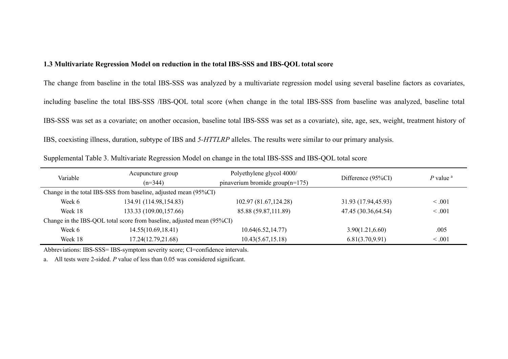### **1.3 Multivariate Regression Model on reduction in the total IBS-SSS and IBS-QOL total score**

The change from baseline in the total IBS-SSS was analyzed by a multivariate regression model using several baseline factors as covariates, including baseline the total IBS-SSS /IBS-QOL total score (when change in the total IBS-SSS from baseline was analyzed, baseline total IBS-SSS was set as a covariate; on another occasion, baseline total IBS-SSS was set as a covariate), site, age, sex, weight, treatment history of IBS, coexisting illness, duration, subtype of IBS and *5-HTTLRP* alleles. The results were similar to our primary analysis.

| Variable                                                               | Acupuncture group                                                | Polyethylene glycol 4000/          | Difference (95%CI)  | $P$ value $a$ |  |
|------------------------------------------------------------------------|------------------------------------------------------------------|------------------------------------|---------------------|---------------|--|
|                                                                        | $(n=344)$                                                        | pinaverium bromide group $(n=175)$ |                     |               |  |
|                                                                        | Change in the total IBS-SSS from baseline, adjusted mean (95%CI) |                                    |                     |               |  |
| Week 6                                                                 | 134.91 (114.98,154.83)                                           | 102.97 (81.67, 124.28)             | 31.93 (17.94,45.93) | $\leq .001$   |  |
| Week 18                                                                | 133.33 (109.00, 157.66)                                          | 85.88 (59.87,111.89)               | 47.45 (30.36,64.54) | $\leq .001$   |  |
| Change in the IBS-QOL total score from baseline, adjusted mean (95%CI) |                                                                  |                                    |                     |               |  |
| Week 6                                                                 | 14.55(10.69,18.41)                                               | 10.64(6.52, 14.77)                 | 3.90(1.21, 6.60)    | .005          |  |
| Week 18                                                                | 17.24(12.79,21.68)                                               | 10.43(5.67, 15.18)                 | 6.81(3.70, 9.91)    | $\leq .001$   |  |

Supplemental Table 3. Multivariate Regression Model on change in the total IBS-SSS and IBS-QOL total score

Abbreviations: IBS-SSS= IBS-symptom severity score; CI=confidence intervals.

a. All tests were 2-sided. *P* value of less than 0.05 was considered significant.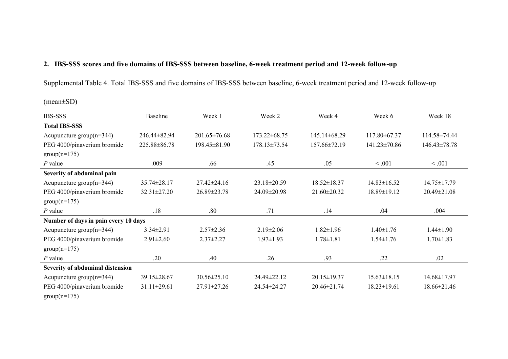# **2. IBS-SSS scores and five domains of IBS-SSS between baseline, 6-week treatment period and 12-week follow-up**

Supplemental Table 4. Total IBS-SSS and five domains of IBS-SSS between baseline, 6-week treatment period and 12-week follow-up

(mean±SD)

| <b>IBS-SSS</b>                       | Baseline          | Week 1             | Week 2             | Week 4            | Week 6             | Week 18           |
|--------------------------------------|-------------------|--------------------|--------------------|-------------------|--------------------|-------------------|
| <b>Total IBS-SSS</b>                 |                   |                    |                    |                   |                    |                   |
| Acupuncture group $(n=344)$          | 246.44±82.94      | $201.65 \pm 76.68$ | $173.22 \pm 68.75$ | 145.14±68.29      | 117.80±67.37       | 114.58±74.44      |
| PEG 4000/pinaverium bromide          | 225.88±86.78      | 198.45 ± 81.90     | 178.13±73.54       | 157.66±72.19      | $141.23 \pm 70.86$ | $146.43\pm78.78$  |
| $group(n=175)$                       |                   |                    |                    |                   |                    |                   |
| $P$ value                            | .009              | .66                | .45                | .05               | < 0.001            | < 0.001           |
| Severity of abdominal pain           |                   |                    |                    |                   |                    |                   |
| Acupuncture group $(n=344)$          | 35.74±28.17       | $27.42 \pm 24.16$  | 23.18±20.59        | $18.52 \pm 18.37$ | $14.83 \pm 16.52$  | $14.75 \pm 17.79$ |
| PEG 4000/pinaverium bromide          | $32.31 \pm 27.20$ | 26.89±23.78        | 24.09±20.98        | 21.60±20.32       | 18.89±19.12        | 20.49±21.08       |
| $group(n=175)$                       |                   |                    |                    |                   |                    |                   |
| $P$ value                            | .18               | .80                | .71                | .14               | .04                | .004              |
| Number of days in pain every 10 days |                   |                    |                    |                   |                    |                   |
| Acupuncture group $(n=344)$          | $3.34 \pm 2.91$   | $2.57 \pm 2.36$    | $2.19 \pm 2.06$    | $1.82 \pm 1.96$   | $1.40 \pm 1.76$    | $1.44 \pm 1.90$   |
| PEG 4000/pinaverium bromide          | $2.91 \pm 2.60$   | $2.37 \pm 2.27$    | $1.97 \pm 1.93$    | $1.78 \pm 1.81$   | $1.54 \pm 1.76$    | $1.70 \pm 1.83$   |
| $group(n=175)$                       |                   |                    |                    |                   |                    |                   |
| $P$ value                            | .20               | .40                | .26                | .93               | .22                | .02               |
| Severity of abdominal distension     |                   |                    |                    |                   |                    |                   |
| Acupuncture group $(n=344)$          | 39.15±28.67       | 30.56±25.10        | 24.49±22.12        | $20.15 \pm 19.37$ | $15.63 \pm 18.15$  | 14.68±17.97       |
| PEG 4000/pinaverium bromide          | $31.11 \pm 29.61$ | 27.91±27.26        | 24.54±24.27        | 20.46±21.74       | $18.23 \pm 19.61$  | 18.66±21.46       |
| $group(n=175)$                       |                   |                    |                    |                   |                    |                   |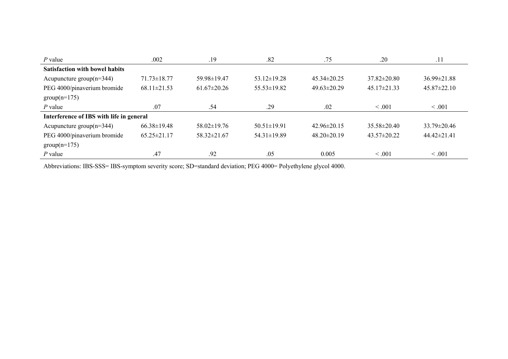| $P$ value                             | .002                                     | .19               | .82               | .75               | .20               | .11               |  |
|---------------------------------------|------------------------------------------|-------------------|-------------------|-------------------|-------------------|-------------------|--|
| <b>Satisfaction with bowel habits</b> |                                          |                   |                   |                   |                   |                   |  |
| Acupuncture group $(n=344)$           | $71.73 \pm 18.77$                        | 59.98±19.47       | $53.12\pm19.28$   | $45.34 \pm 20.25$ | $37.82 \pm 20.80$ | $36.99 \pm 21.88$ |  |
| PEG 4000/pinaverium bromide           | $68.11 \pm 21.53$                        | $61.67 \pm 20.26$ | $55.53 \pm 19.82$ | $49.63 \pm 20.29$ | 45.17±21.33       | $45.87 \pm 22.10$ |  |
| $group(n=175)$                        |                                          |                   |                   |                   |                   |                   |  |
| $P$ value                             | .07                                      | .54               | .29               | .02               | < 0.001           | < 0.001           |  |
|                                       | Interference of IBS with life in general |                   |                   |                   |                   |                   |  |
| Acupuncture group $(n=344)$           | $66.38 \pm 19.48$                        | $58.02 \pm 19.76$ | $50.51 \pm 19.91$ | $42.96\pm20.15$   | $35.58 \pm 20.40$ | $33.79 \pm 20.46$ |  |
| PEG 4000/pinaverium bromide           | $65.25 \pm 21.17$                        | 58.32±21.67       | 54.31±19.89       | $48.20 \pm 20.19$ | $43.57 \pm 20.22$ | $44.42 \pm 21.41$ |  |
| $group(n=175)$                        |                                          |                   |                   |                   |                   |                   |  |
| $P$ value                             | .47                                      | .92               | .05               | 0.005             | < 0.01            | $\leq .001$       |  |

Abbreviations: IBS-SSS= IBS-symptom severity score; SD=standard deviation; PEG 4000= Polyethylene glycol 4000.